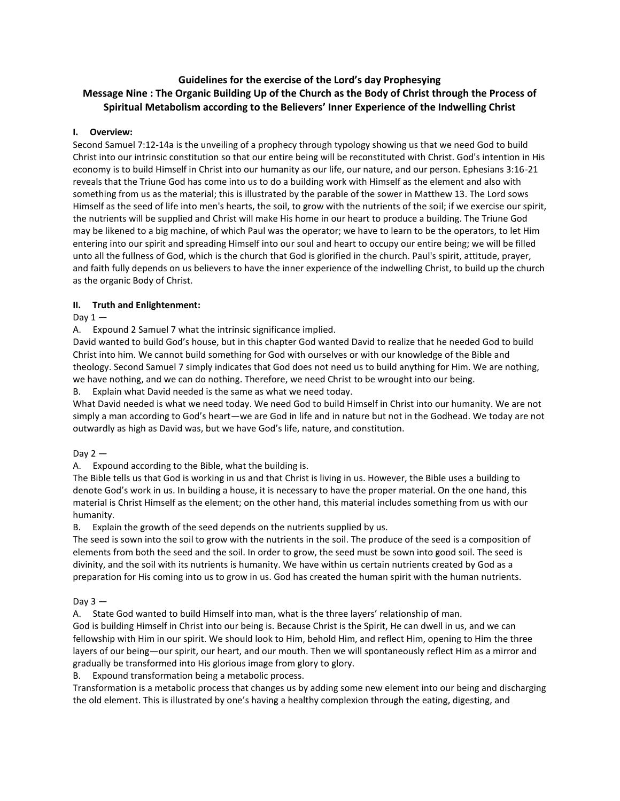# **Guidelines for the exercise of the Lord's day Prophesying Message Nine : The Organic Building Up of the Church as the Body of Christ through the Process of Spiritual Metabolism according to the Believers' Inner Experience of the Indwelling Christ**

## **I. Overview:**

Second Samuel 7:12-14a is the unveiling of a prophecy through typology showing us that we need God to build Christ into our intrinsic constitution so that our entire being will be reconstituted with Christ. God's intention in His economy is to build Himself in Christ into our humanity as our life, our nature, and our person. Ephesians 3:16-21 reveals that the Triune God has come into us to do a building work with Himself as the element and also with something from us as the material; this is illustrated by the parable of the sower in Matthew 13. The Lord sows Himself as the seed of life into men's hearts, the soil, to grow with the nutrients of the soil; if we exercise our spirit, the nutrients will be supplied and Christ will make His home in our heart to produce a building. The Triune God may be likened to a big machine, of which Paul was the operator; we have to learn to be the operators, to let Him entering into our spirit and spreading Himself into our soul and heart to occupy our entire being; we will be filled unto all the fullness of God, which is the church that God is glorified in the church. Paul's spirit, attitude, prayer, and faith fully depends on us believers to have the inner experience of the indwelling Christ, to build up the church as the organic Body of Christ.

#### **II. Truth and Enlightenment:**

#### Day  $1 -$

A. Expound 2 Samuel 7 what the intrinsic significance implied.

David wanted to build God's house, but in this chapter God wanted David to realize that he needed God to build Christ into him. We cannot build something for God with ourselves or with our knowledge of the Bible and theology. Second Samuel 7 simply indicates that God does not need us to build anything for Him. We are nothing, we have nothing, and we can do nothing. Therefore, we need Christ to be wrought into our being.

B. Explain what David needed is the same as what we need today.

What David needed is what we need today. We need God to build Himself in Christ into our humanity. We are not simply a man according to God's heart—we are God in life and in nature but not in the Godhead. We today are not outwardly as high as David was, but we have God's life, nature, and constitution.

# Day  $2 -$

A. Expound according to the Bible, what the building is.

The Bible tells us that God is working in us and that Christ is living in us. However, the Bible uses a building to denote God's work in us. In building a house, it is necessary to have the proper material. On the one hand, this material is Christ Himself as the element; on the other hand, this material includes something from us with our humanity.

B. Explain the growth of the seed depends on the nutrients supplied by us.

The seed is sown into the soil to grow with the nutrients in the soil. The produce of the seed is a composition of elements from both the seed and the soil. In order to grow, the seed must be sown into good soil. The seed is divinity, and the soil with its nutrients is humanity. We have within us certain nutrients created by God as a preparation for His coming into us to grow in us. God has created the human spirit with the human nutrients.

#### Day  $3 -$

A. State God wanted to build Himself into man, what is the three layers' relationship of man.

God is building Himself in Christ into our being is. Because Christ is the Spirit, He can dwell in us, and we can fellowship with Him in our spirit. We should look to Him, behold Him, and reflect Him, opening to Him the three layers of our being—our spirit, our heart, and our mouth. Then we will spontaneously reflect Him as a mirror and gradually be transformed into His glorious image from glory to glory.

B. Expound transformation being a metabolic process.

Transformation is a metabolic process that changes us by adding some new element into our being and discharging the old element. This is illustrated by one's having a healthy complexion through the eating, digesting, and